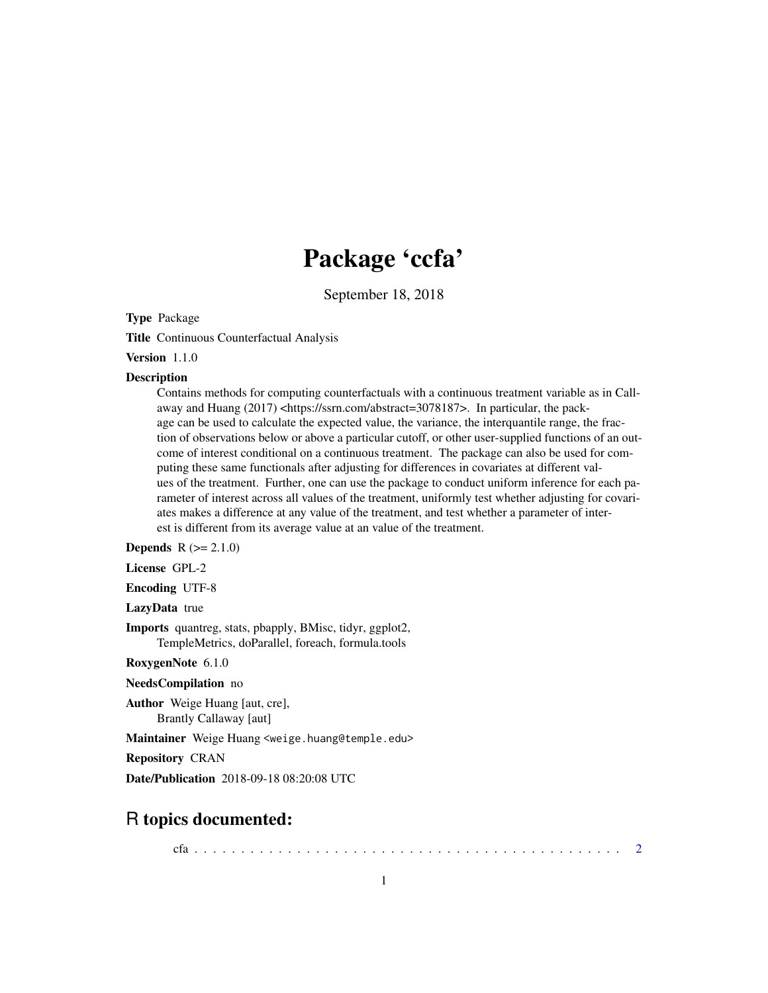# Package 'ccfa'

September 18, 2018

Type Package

Title Continuous Counterfactual Analysis

Version 1.1.0

#### **Description**

Contains methods for computing counterfactuals with a continuous treatment variable as in Callaway and Huang (2017) <https://ssrn.com/abstract=3078187>. In particular, the package can be used to calculate the expected value, the variance, the interquantile range, the fraction of observations below or above a particular cutoff, or other user-supplied functions of an outcome of interest conditional on a continuous treatment. The package can also be used for computing these same functionals after adjusting for differences in covariates at different values of the treatment. Further, one can use the package to conduct uniform inference for each parameter of interest across all values of the treatment, uniformly test whether adjusting for covariates makes a difference at any value of the treatment, and test whether a parameter of interest is different from its average value at an value of the treatment.

**Depends**  $R (= 2.1.0)$ 

License GPL-2

Encoding UTF-8

LazyData true

Imports quantreg, stats, pbapply, BMisc, tidyr, ggplot2, TempleMetrics, doParallel, foreach, formula.tools

RoxygenNote 6.1.0

NeedsCompilation no

Author Weige Huang [aut, cre], Brantly Callaway [aut]

Maintainer Weige Huang <weige.huang@temple.edu>

Repository CRAN

Date/Publication 2018-09-18 08:20:08 UTC

# R topics documented:

cfa . . . . . . . . . . . . . . . . . . . . . . . . . . . . . . . . . . . . . . . . . . . . . . [2](#page-1-0)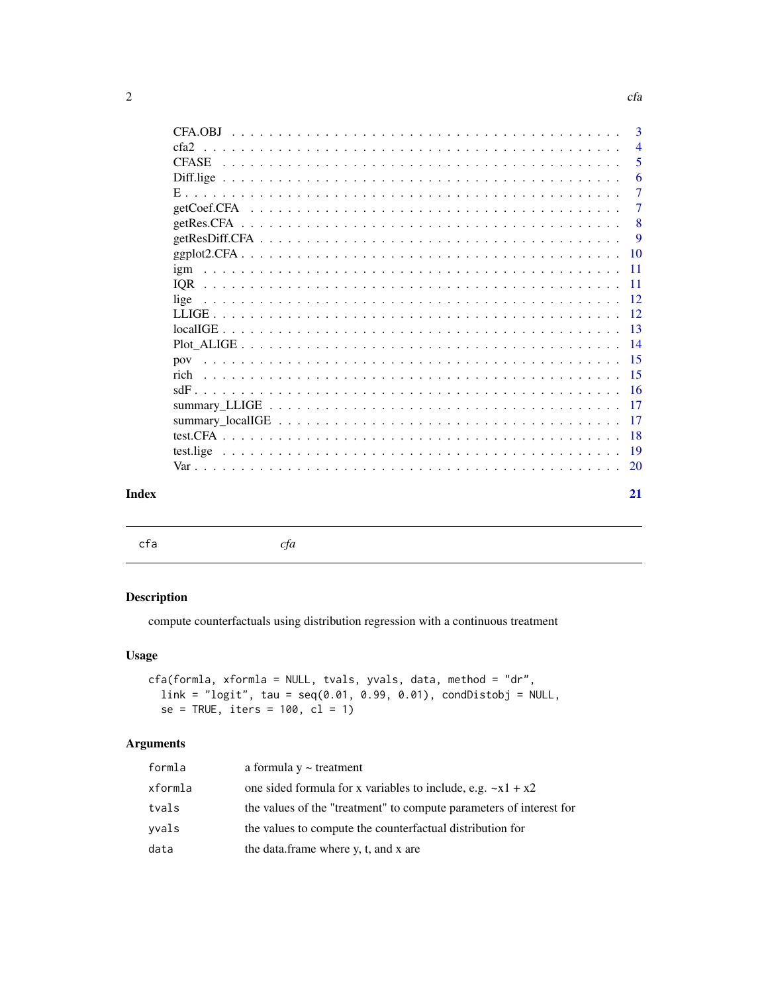<span id="page-1-0"></span>

|       | CFA.OBJ          | 3               |
|-------|------------------|-----------------|
|       | cfa <sub>2</sub> | $\overline{4}$  |
|       | <b>CFASE</b>     | 5               |
|       |                  | 6               |
|       |                  | $\tau$          |
|       | getCoef.CFA      | 7               |
|       | getRes.CFA       | 8               |
|       |                  | 9               |
|       |                  | <b>10</b>       |
|       | igm              | -11             |
|       | <b>IOR</b>       | -11             |
|       | lige             | 12              |
|       |                  | -12             |
|       |                  | $\overline{13}$ |
|       |                  | 14              |
|       |                  | -15             |
|       | rich             | 15              |
|       |                  | 16              |
|       |                  | 17              |
|       |                  | 17              |
|       |                  | 18              |
|       |                  | -19             |
|       |                  | 20              |
|       |                  |                 |
| Index |                  | 21              |
|       |                  |                 |

cfa *cfa*

#### Description

compute counterfactuals using distribution regression with a continuous treatment

#### Usage

```
cfa(formla, xformla = NULL, tvals, yvals, data, method = "dr",
 link = "logit", tau = seq(0.01, 0.99, 0.01), condDistobj = NULL,
  se = TRUE, iters = 100, cl = 1)
```

| formla  | a formula $y \sim$ treatment                                        |
|---------|---------------------------------------------------------------------|
| xformla | one sided formula for x variables to include, e.g. $-x1 + x2$       |
| tvals   | the values of the "treatment" to compute parameters of interest for |
| vvals   | the values to compute the counterfactual distribution for           |
| data    | the data.frame where y, t, and x are                                |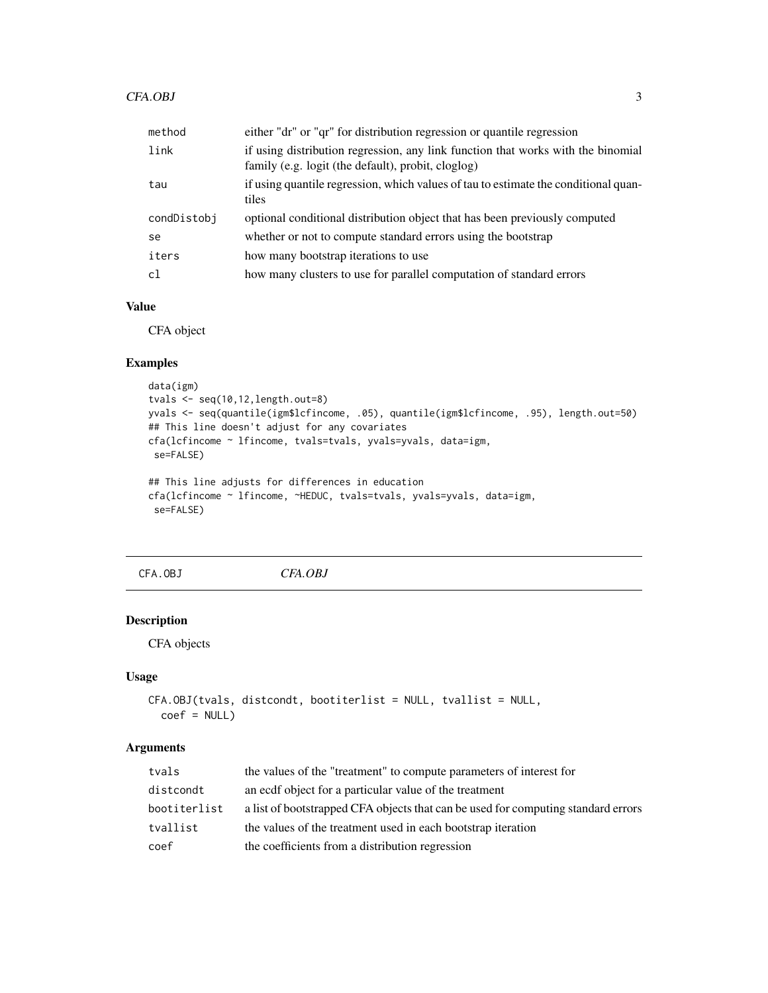#### <span id="page-2-0"></span>CFA.OBJ

| method      | either "dr" or "qr" for distribution regression or quantile regression                                                                 |
|-------------|----------------------------------------------------------------------------------------------------------------------------------------|
| link        | if using distribution regression, any link function that works with the binomial<br>family (e.g. logit (the default), probit, cloglog) |
| tau         | if using quantile regression, which values of tau to estimate the conditional quan-<br>tiles                                           |
| condDistobj | optional conditional distribution object that has been previously computed                                                             |
| se          | whether or not to compute standard errors using the bootstrap                                                                          |
| iters       | how many bootstrap iterations to use                                                                                                   |
| cl          | how many clusters to use for parallel computation of standard errors                                                                   |

#### Value

CFA object

#### Examples

```
data(igm)
tvals <- seq(10,12,length.out=8)
yvals <- seq(quantile(igm$lcfincome, .05), quantile(igm$lcfincome, .95), length.out=50)
## This line doesn't adjust for any covariates
cfa(lcfincome ~ lfincome, tvals=tvals, yvals=yvals, data=igm,
se=FALSE)
## This line adjusts for differences in education
cfa(lcfincome ~ lfincome, ~HEDUC, tvals=tvals, yvals=yvals, data=igm,
```

```
se=FALSE)
```
CFA.OBJ *CFA.OBJ*

#### Description

CFA objects

#### Usage

```
CFA.OBJ(tvals, distcondt, bootiterlist = NULL, tvallist = NULL,
 coef = NULL)
```

| tvals        | the values of the "treatment" to compute parameters of interest for               |
|--------------|-----------------------------------------------------------------------------------|
| distcondt    | an ecdf object for a particular value of the treatment                            |
| bootiterlist | a list of bootstrapped CFA objects that can be used for computing standard errors |
| tvallist     | the values of the treatment used in each bootstrap iteration                      |
| coef         | the coefficients from a distribution regression                                   |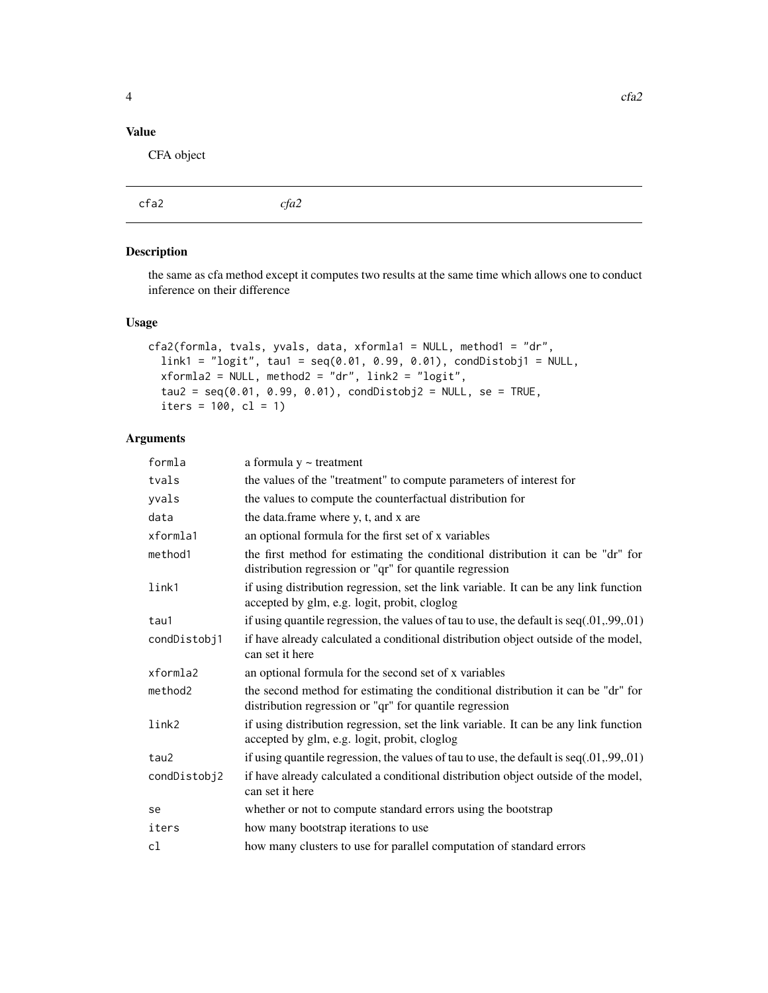#### <span id="page-3-0"></span>Value

CFA object

| cfa2<br>cfa2 |
|--------------|
|--------------|

#### Description

the same as cfa method except it computes two results at the same time which allows one to conduct inference on their difference

#### Usage

```
cfa2(formla, tvals, yvals, data, xformla1 = NULL, method1 = "dr",
 link1 = "logit", tau1 = seq(0.01, 0.99, 0.01), condDistobj1 = NULL,xformala2 = NULL, method2 = "dr", link2 = "logit",tau2 = seq(0.01, 0.99, 0.01), condDistobj2 = NULL, se = TRUE,iters = 100, cl = 1)
```

| formla       | a formula $y \sim$ treatment                                                                                                                |
|--------------|---------------------------------------------------------------------------------------------------------------------------------------------|
| tvals        | the values of the "treatment" to compute parameters of interest for                                                                         |
| yvals        | the values to compute the counterfactual distribution for                                                                                   |
| data         | the data.frame where y, t, and x are                                                                                                        |
| xformla1     | an optional formula for the first set of x variables                                                                                        |
| method1      | the first method for estimating the conditional distribution it can be "dr" for<br>distribution regression or "qr" for quantile regression  |
| link1        | if using distribution regression, set the link variable. It can be any link function<br>accepted by glm, e.g. logit, probit, cloglog        |
| tau1         | if using quantile regression, the values of tau to use, the default is $seq(.01, .99, .01)$                                                 |
| condDistobj1 | if have already calculated a conditional distribution object outside of the model,<br>can set it here                                       |
| xformla2     | an optional formula for the second set of x variables                                                                                       |
| method2      | the second method for estimating the conditional distribution it can be "dr" for<br>distribution regression or "qr" for quantile regression |
| link2        | if using distribution regression, set the link variable. It can be any link function<br>accepted by glm, e.g. logit, probit, cloglog        |
| tau2         | if using quantile regression, the values of tau to use, the default is $seq(.01, .99, .01)$                                                 |
| condDistobj2 | if have already calculated a conditional distribution object outside of the model,<br>can set it here                                       |
| se           | whether or not to compute standard errors using the bootstrap                                                                               |
| iters        | how many bootstrap iterations to use                                                                                                        |
| c1           | how many clusters to use for parallel computation of standard errors                                                                        |
|              |                                                                                                                                             |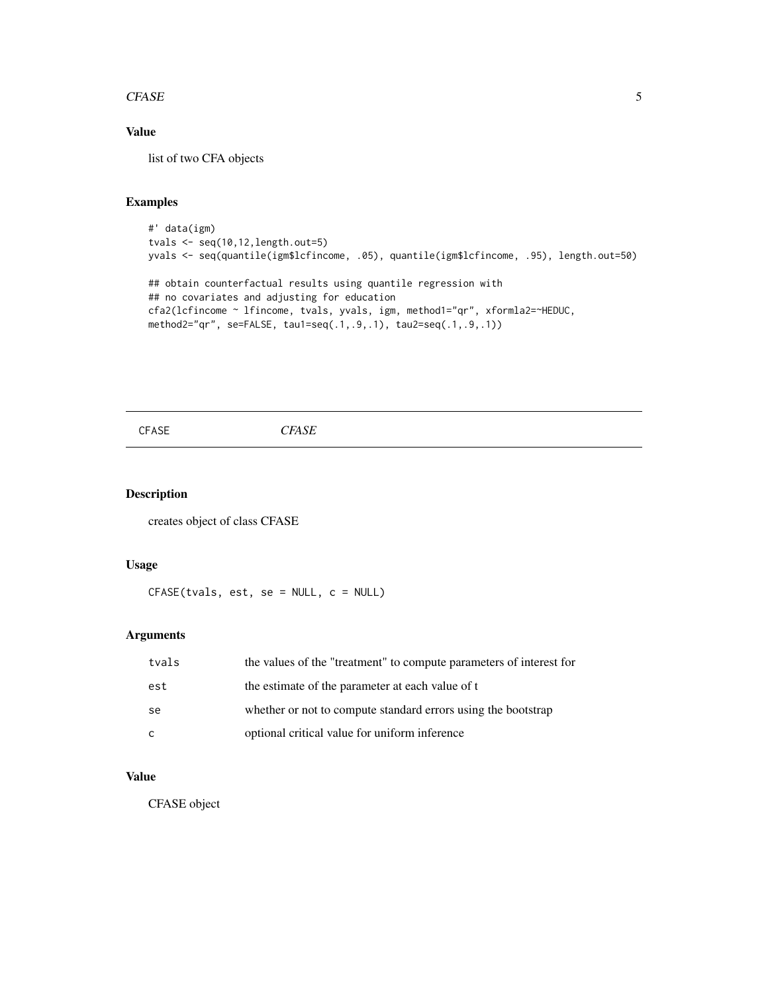#### <span id="page-4-0"></span> $CFASE$  5

#### Value

list of two CFA objects

#### Examples

```
#' data(igm)
tvals <- seq(10,12,length.out=5)
yvals <- seq(quantile(igm$lcfincome, .05), quantile(igm$lcfincome, .95), length.out=50)
## obtain counterfactual results using quantile regression with
## no covariates and adjusting for education
cfa2(lcfincome ~ lfincome, tvals, yvals, igm, method1="qr", xformla2=~HEDUC,
method2="qr", se=FALSE, tau1=seq(.1,.9,.1), tau2=seq(.1,.9,.1))
```
CFASE *CFASE*

#### Description

creates object of class CFASE

#### Usage

CFASE(tvals, est, se = NULL, c = NULL)

#### Arguments

| tvals | the values of the "treatment" to compute parameters of interest for |
|-------|---------------------------------------------------------------------|
| est   | the estimate of the parameter at each value of t                    |
| -se   | whether or not to compute standard errors using the bootstrap       |
| C.    | optional critical value for uniform inference                       |

#### Value

CFASE object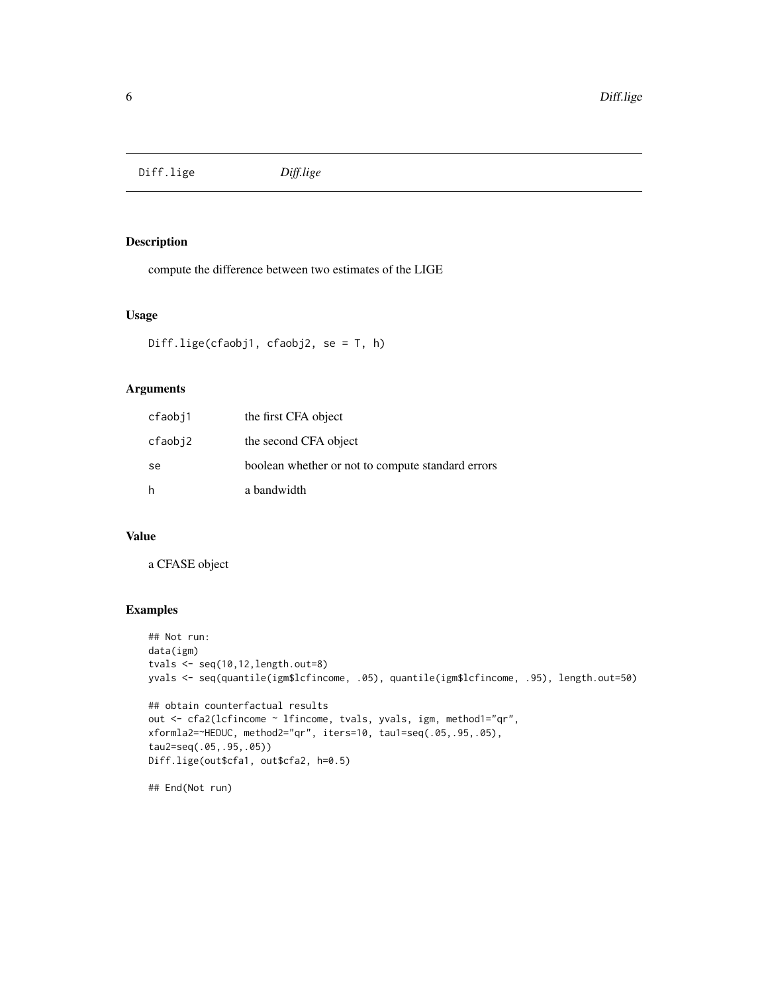<span id="page-5-0"></span>Diff.lige *Diff.lige*

#### Description

compute the difference between two estimates of the LIGE

#### Usage

```
Diff.lige(cfaobj1, cfaobj2, se = T, h)
```
#### Arguments

| cfaobj1 | the first CFA object                              |
|---------|---------------------------------------------------|
| cfaobj2 | the second CFA object                             |
| se      | boolean whether or not to compute standard errors |
| h       | a bandwidth                                       |

#### Value

a CFASE object

#### Examples

```
## Not run:
data(igm)
tvals <- seq(10,12,length.out=8)
yvals <- seq(quantile(igm$lcfincome, .05), quantile(igm$lcfincome, .95), length.out=50)
## obtain counterfactual results
out <- cfa2(lcfincome ~ lfincome, tvals, yvals, igm, method1="qr",
xformla2=~HEDUC, method2="qr", iters=10, tau1=seq(.05,.95,.05),
tau2=seq(.05,.95,.05))
Diff.lige(out$cfa1, out$cfa2, h=0.5)
```
## End(Not run)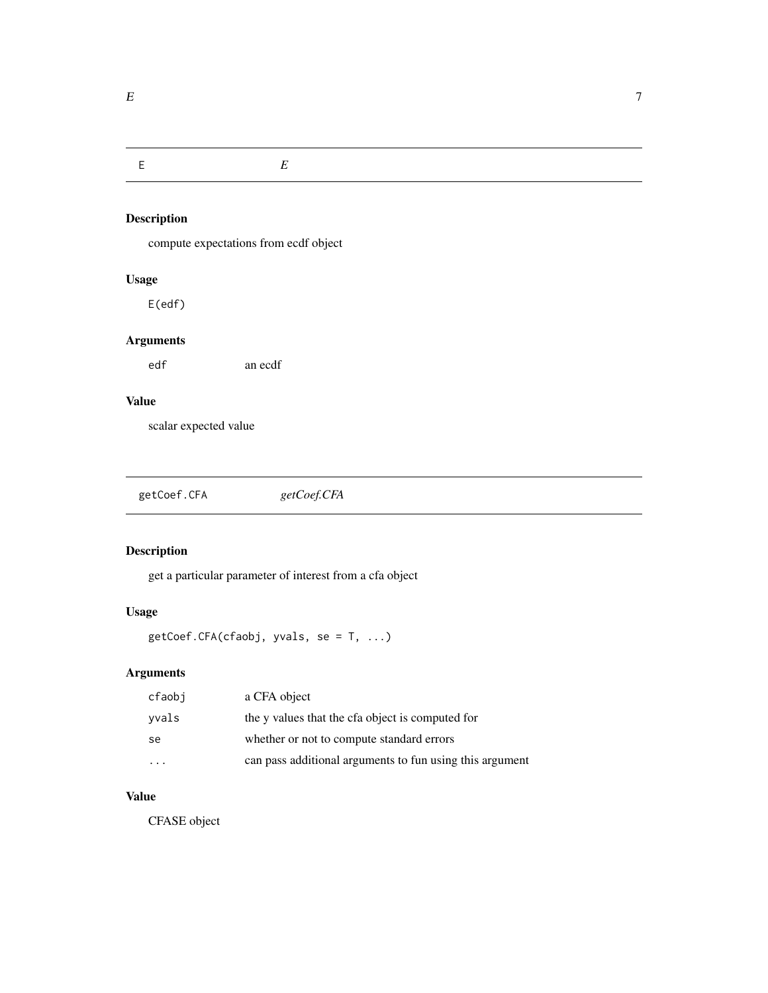<span id="page-6-0"></span>E *E*

# Description

compute expectations from ecdf object

#### Usage

E(edf)

#### Arguments

edf an ecdf

#### Value

scalar expected value

| getCoef.CFA | getCoef.CFA |  |
|-------------|-------------|--|
|-------------|-------------|--|

#### Description

get a particular parameter of interest from a cfa object

#### Usage

getCoef.CFA(cfaobj, yvals, se = T, ...)

### Arguments

| cfaobi | a CFA object                                             |
|--------|----------------------------------------------------------|
| vvals  | the y values that the cfa object is computed for         |
| se.    | whether or not to compute standard errors                |
|        | can pass additional arguments to fun using this argument |

### Value

CFASE object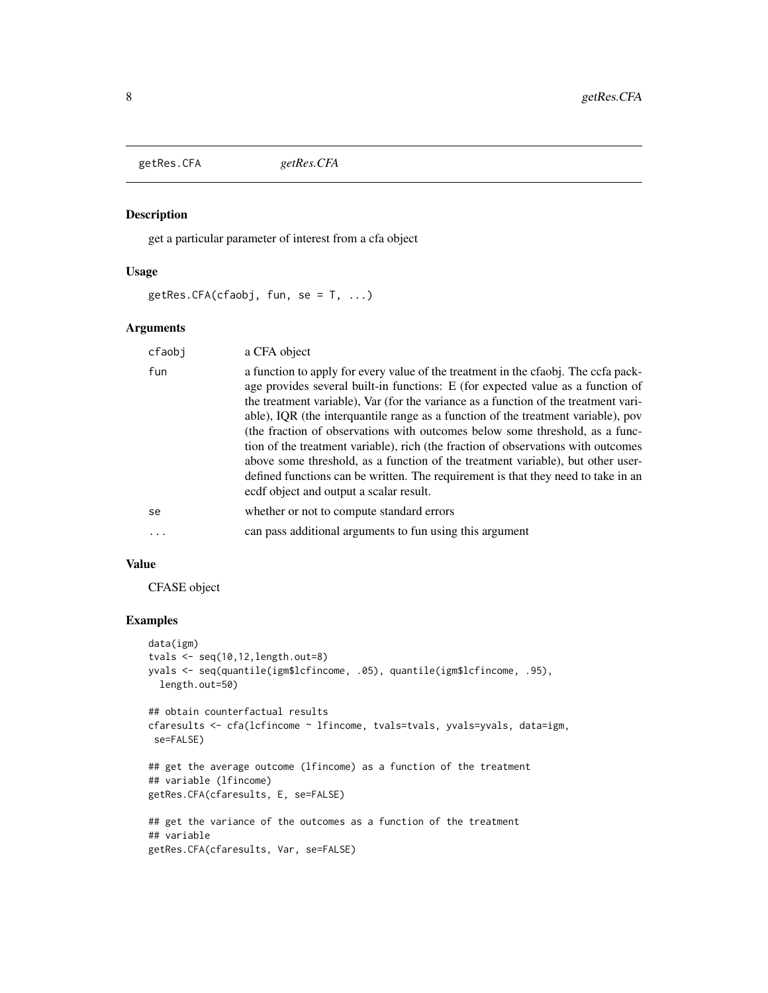<span id="page-7-0"></span>getRes.CFA *getRes.CFA*

#### Description

get a particular parameter of interest from a cfa object

#### Usage

 $getRes.CFA(cfaobj, fun, se = T, ...)$ 

#### Arguments

| cfaobj | a CFA object                                                                                                                                                                                                                                                                                                                                                                                                                                                                                                                                                                                                                                                                                                                              |
|--------|-------------------------------------------------------------------------------------------------------------------------------------------------------------------------------------------------------------------------------------------------------------------------------------------------------------------------------------------------------------------------------------------------------------------------------------------------------------------------------------------------------------------------------------------------------------------------------------------------------------------------------------------------------------------------------------------------------------------------------------------|
| fun    | a function to apply for every value of the treatment in the cfaobj. The ccfa pack-<br>age provides several built-in functions: E (for expected value as a function of<br>the treatment variable), Var (for the variance as a function of the treatment vari-<br>able), IQR (the interquantile range as a function of the treatment variable), pov<br>(the fraction of observations with outcomes below some threshold, as a func-<br>tion of the treatment variable), rich (the fraction of observations with outcomes<br>above some threshold, as a function of the treatment variable), but other user-<br>defined functions can be written. The requirement is that they need to take in an<br>ecdf object and output a scalar result. |
| se     | whether or not to compute standard errors                                                                                                                                                                                                                                                                                                                                                                                                                                                                                                                                                                                                                                                                                                 |
|        | can pass additional arguments to fun using this argument                                                                                                                                                                                                                                                                                                                                                                                                                                                                                                                                                                                                                                                                                  |

#### Value

CFASE object

#### Examples

```
data(igm)
tvals <- seq(10,12,length.out=8)
yvals <- seq(quantile(igm$lcfincome, .05), quantile(igm$lcfincome, .95),
  length.out=50)
## obtain counterfactual results
cfaresults <- cfa(lcfincome ~ lfincome, tvals=tvals, yvals=yvals, data=igm,
 se=FALSE)
## get the average outcome (lfincome) as a function of the treatment
## variable (lfincome)
getRes.CFA(cfaresults, E, se=FALSE)
## get the variance of the outcomes as a function of the treatment
## variable
getRes.CFA(cfaresults, Var, se=FALSE)
```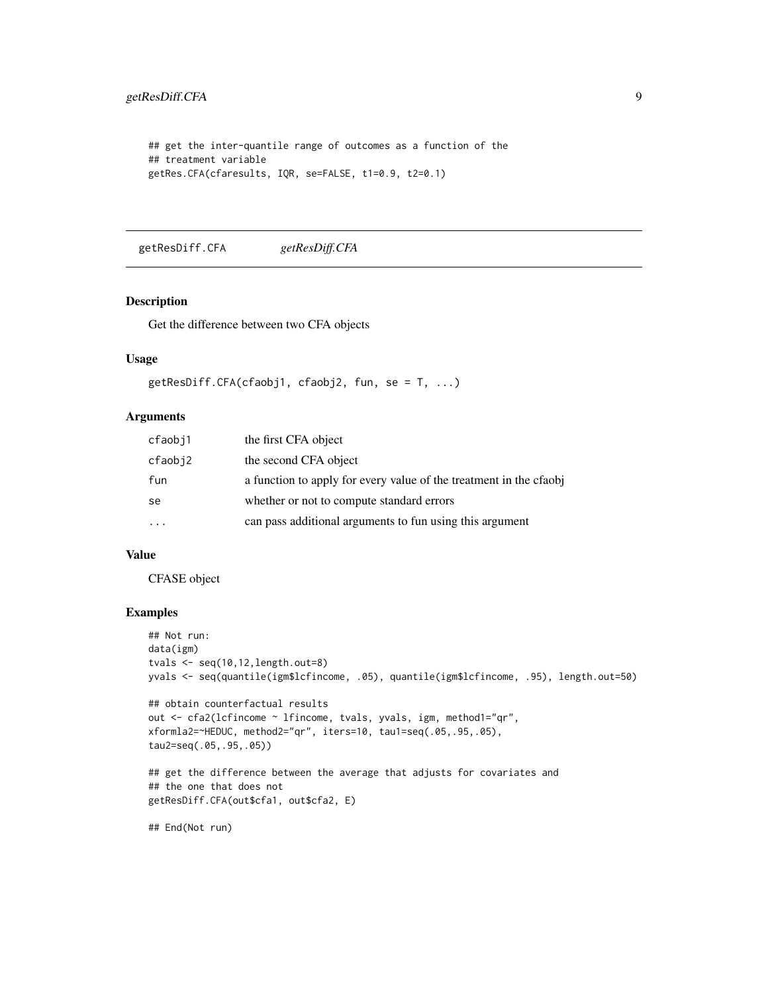```
## get the inter-quantile range of outcomes as a function of the
## treatment variable
getRes.CFA(cfaresults, IQR, se=FALSE, t1=0.9, t2=0.1)
```
getResDiff.CFA *getResDiff.CFA*

#### Description

Get the difference between two CFA objects

#### Usage

```
getResDiff.CFA(cfaobj1, cfaobj2, fun, se = T, ...)
```
#### Arguments

| cfaobj1                 | the first CFA object                                              |
|-------------------------|-------------------------------------------------------------------|
| cfaobj2                 | the second CFA object                                             |
| fun                     | a function to apply for every value of the treatment in the cfaob |
| se                      | whether or not to compute standard errors                         |
| $\cdot$ $\cdot$ $\cdot$ | can pass additional arguments to fun using this argument          |

#### Value

#### CFASE object

#### Examples

```
## Not run:
data(igm)
tvals <- seq(10,12,length.out=8)
yvals <- seq(quantile(igm$lcfincome, .05), quantile(igm$lcfincome, .95), length.out=50)
## obtain counterfactual results
out <- cfa2(lcfincome ~ lfincome, tvals, yvals, igm, method1="qr",
xformla2=~HEDUC, method2="qr", iters=10, tau1=seq(.05,.95,.05),
tau2=seq(.05,.95,.05))
## get the difference between the average that adjusts for covariates and
## the one that does not
getResDiff.CFA(out$cfa1, out$cfa2, E)
```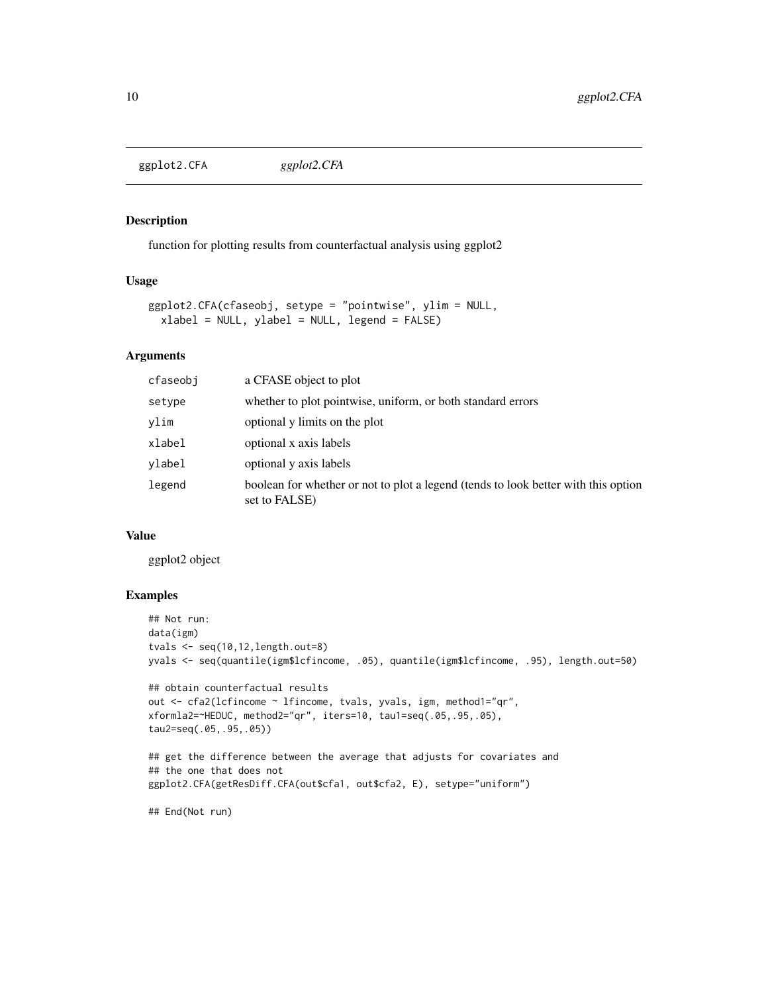<span id="page-9-0"></span>ggplot2.CFA *ggplot2.CFA*

#### Description

function for plotting results from counterfactual analysis using ggplot2

#### Usage

```
ggplot2.CFA(cfaseobj, setype = "pointwise", ylim = NULL,
 xlabel = NULL, ylabel = NULL, legend = FALSE)
```
#### Arguments

| cfaseobj | a CFASE object to plot                                                                              |
|----------|-----------------------------------------------------------------------------------------------------|
| setype   | whether to plot pointwise, uniform, or both standard errors                                         |
| ylim     | optional y limits on the plot                                                                       |
| xlabel   | optional x axis labels                                                                              |
| vlabel   | optional y axis labels                                                                              |
| legend   | boolean for whether or not to plot a legend (tends to look better with this option<br>set to FALSE) |

#### Value

ggplot2 object

#### Examples

```
## Not run:
data(igm)
tvals <- seq(10,12,length.out=8)
yvals <- seq(quantile(igm$lcfincome, .05), quantile(igm$lcfincome, .95), length.out=50)
## obtain counterfactual results
out <- cfa2(lcfincome ~ lfincome, tvals, yvals, igm, method1="qr",
xformla2=~HEDUC, method2="qr", iters=10, tau1=seq(.05,.95,.05),
tau2=seq(.05,.95,.05))
## get the difference between the average that adjusts for covariates and
## the one that does not
ggplot2.CFA(getResDiff.CFA(out$cfa1, out$cfa2, E), setype="uniform")
```
## End(Not run)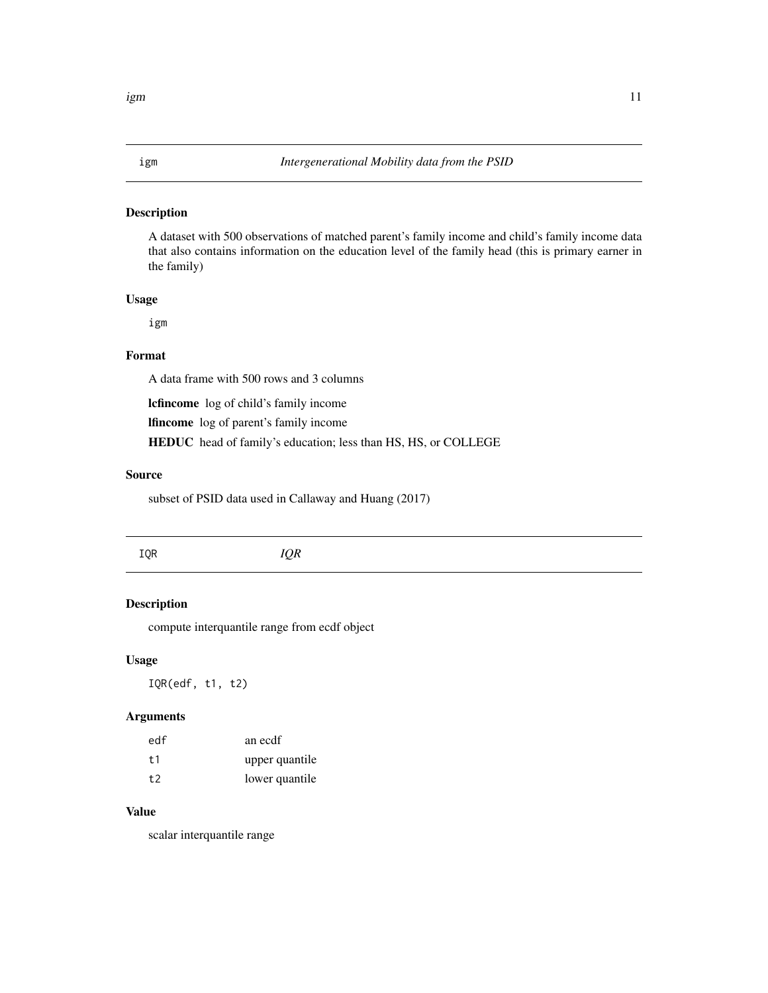#### <span id="page-10-0"></span>igm *Intergenerational Mobility data from the PSID*

#### Description

A dataset with 500 observations of matched parent's family income and child's family income data that also contains information on the education level of the family head (this is primary earner in the family)

#### Usage

igm

#### Format

A data frame with 500 rows and 3 columns

lcfincome log of child's family income

lfincome log of parent's family income

HEDUC head of family's education; less than HS, HS, or COLLEGE

#### Source

subset of PSID data used in Callaway and Huang (2017)

IQR *IQR*

#### Description

compute interquantile range from ecdf object

#### Usage

IQR(edf, t1, t2)

#### Arguments

| edf | an ecdf        |
|-----|----------------|
| † 1 | upper quantile |
| t2  | lower quantile |

#### Value

scalar interquantile range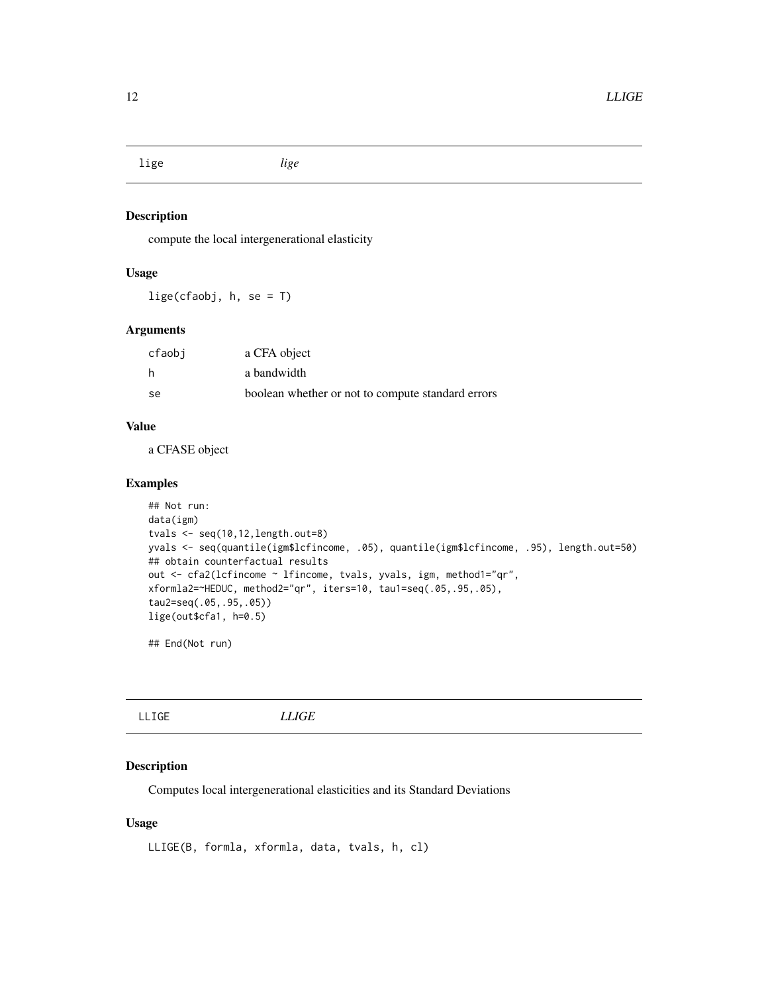<span id="page-11-0"></span>lige *lige*

#### Description

compute the local intergenerational elasticity

#### Usage

lige(cfaobj, h, se = T)

#### Arguments

| cfaobi | a CFA object                                      |
|--------|---------------------------------------------------|
| h      | a bandwidth                                       |
| -se    | boolean whether or not to compute standard errors |

#### Value

a CFASE object

#### Examples

```
## Not run:
data(igm)
tvals <- seq(10,12,length.out=8)
yvals <- seq(quantile(igm$lcfincome, .05), quantile(igm$lcfincome, .95), length.out=50)
## obtain counterfactual results
out <- cfa2(lcfincome ~ lfincome, tvals, yvals, igm, method1="qr",
xformla2=~HEDUC, method2="qr", iters=10, tau1=seq(.05,.95,.05),
tau2=seq(.05,.95,.05))
lige(out$cfa1, h=0.5)
```
## End(Not run)

LLIGE *LLIGE*

#### Description

Computes local intergenerational elasticities and its Standard Deviations

#### Usage

```
LLIGE(B, formla, xformla, data, tvals, h, cl)
```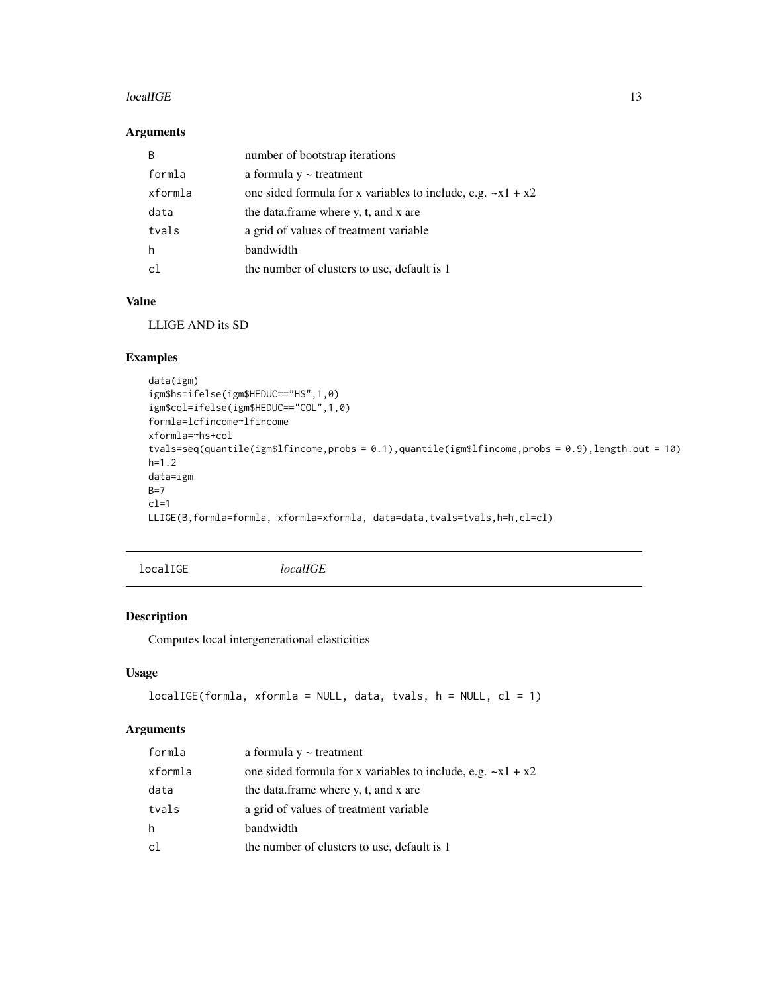#### <span id="page-12-0"></span> $\mu$ localIGE  $\mu$  13

#### Arguments

| B       | number of bootstrap iterations                                |
|---------|---------------------------------------------------------------|
| formla  | a formula $y \sim$ treatment                                  |
| xformla | one sided formula for x variables to include, e.g. $-x1 + x2$ |
| data    | the data.frame where y, t, and x are                          |
| tvals   | a grid of values of treatment variable                        |
| h       | bandwidth                                                     |
| r1      | the number of clusters to use, default is 1                   |

#### Value

LLIGE AND its SD

#### Examples

```
data(igm)
igm$hs=ifelse(igm$HEDUC=="HS",1,0)
igm$col=ifelse(igm$HEDUC=="COL",1,0)
formla=lcfincome~lfincome
xformla=~hs+col
tvals=seq(quantile(igm$lfincome,probs = 0.1),quantile(igm$lfincome,probs = 0.9),length.out = 10)
h=1.2
data=igm
B=7cl=1
LLIGE(B,formla=formla, xformla=xformla, data=data,tvals=tvals,h=h,cl=cl)
```
localIGE *localIGE*

#### Description

Computes local intergenerational elasticities

#### Usage

```
localIGE(formla, xformla = NULL, data, tvals, h = NULL, cl = 1)
```

| formla  | a formula $y \sim$ treatment                                  |
|---------|---------------------------------------------------------------|
| xformla | one sided formula for x variables to include, e.g. $-x1 + x2$ |
| data    | the data.frame where y, t, and x are                          |
| tvals   | a grid of values of treatment variable                        |
| h       | bandwidth                                                     |
| c1      | the number of clusters to use, default is 1                   |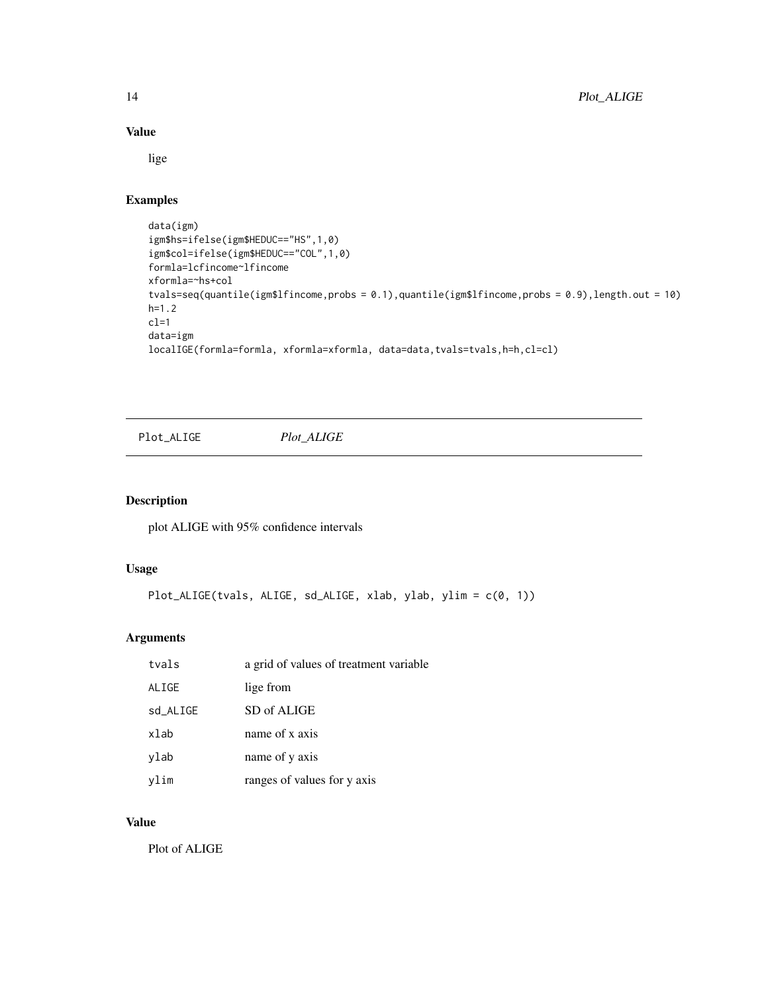#### Value

lige

#### Examples

```
data(igm)
igm$hs=ifelse(igm$HEDUC=="HS",1,0)
igm$col=ifelse(igm$HEDUC=="COL",1,0)
formla=lcfincome~lfincome
xformla=~hs+col
tvals=seq(quantile(igm$lfincome,probs = 0.1),quantile(igm$lfincome,probs = 0.9),length.out = 10)
h=1.2
cl=1data=igm
localIGE(formla=formla, xformla=xformla, data=data,tvals=tvals,h=h,cl=cl)
```
Plot\_ALIGE *Plot\_ALIGE*

#### Description

plot ALIGE with 95% confidence intervals

#### Usage

```
Plot_ALIGE(tvals, ALIGE, sd_ALIGE, xlab, ylab, ylim = c(0, 1))
```
#### Arguments

| tvals    | a grid of values of treatment variable |
|----------|----------------------------------------|
| ALIGE    | lige from                              |
| sd_ALIGE | SD of ALIGE                            |
| xlab     | name of x axis                         |
| ylab     | name of y axis                         |
| vlim     | ranges of values for y axis            |

### Value

Plot of ALIGE

<span id="page-13-0"></span>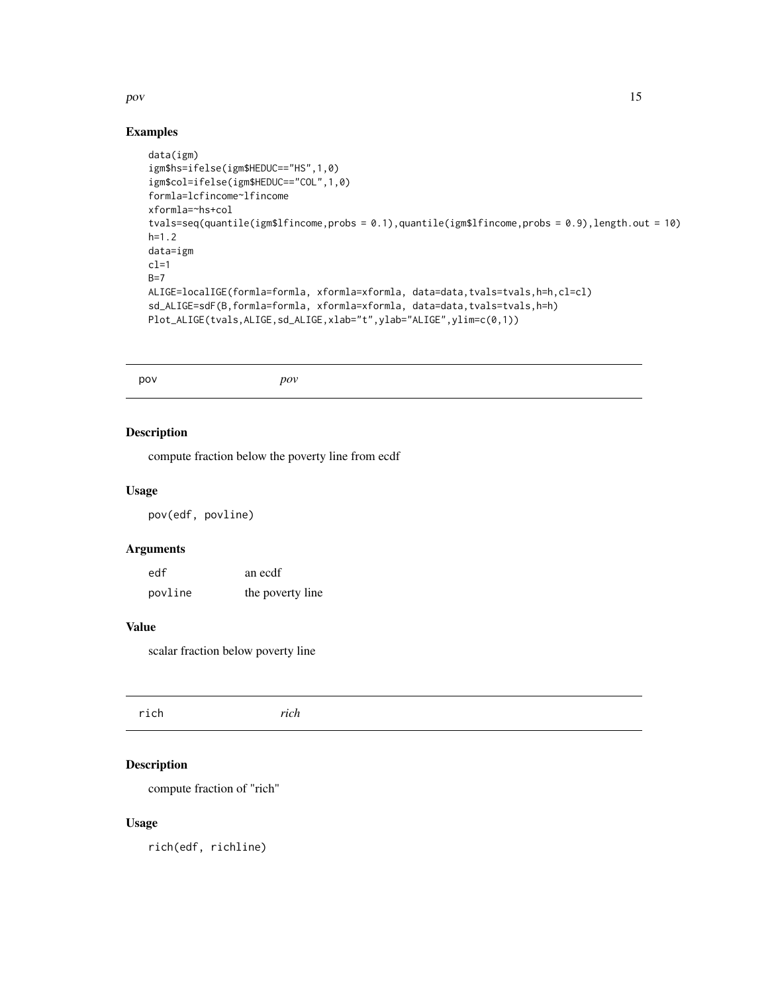#### <span id="page-14-0"></span>pov and the set of the set of the set of the set of the set of the set of the set of the set of the set of the set of the set of the set of the set of the set of the set of the set of the set of the set of the set of the s

#### Examples

```
data(igm)
igm$hs=ifelse(igm$HEDUC=="HS",1,0)
igm$col=ifelse(igm$HEDUC=="COL",1,0)
formla=lcfincome~lfincome
xformla=~hs+col
tvals=seq(quantile(igm$lfincome,probs = 0.1),quantile(igm$lfincome,probs = 0.9),length.out = 10)
h=1.2
data=igm
cl=1B=7ALIGE=localIGE(formla=formla, xformla=xformla, data=data,tvals=tvals,h=h,cl=cl)
sd_ALIGE=sdF(B,formla=formla, xformla=xformla, data=data,tvals=tvals,h=h)
Plot_ALIGE(tvals,ALIGE,sd_ALIGE,xlab="t",ylab="ALIGE",ylim=c(0,1))
```
pov *pov*

#### Description

compute fraction below the poverty line from ecdf

#### Usage

pov(edf, povline)

#### Arguments

| edf     | an ecdf          |
|---------|------------------|
| povline | the poverty line |

#### Value

scalar fraction below poverty line

| ich<br>$\overline{\mathbf{u}}$<br>un |
|--------------------------------------|
|--------------------------------------|

#### Description

compute fraction of "rich"

#### Usage

rich(edf, richline)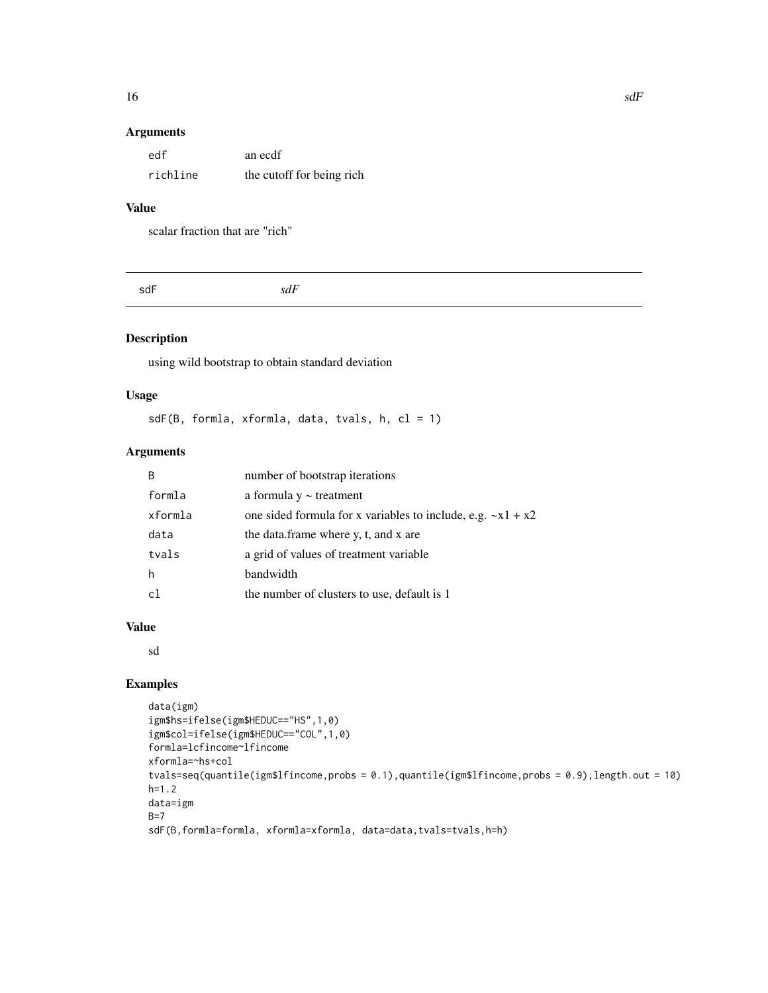#### <span id="page-15-0"></span>Arguments

| edf      | an ecdf                   |
|----------|---------------------------|
| richline | the cutoff for being rich |

#### Value

scalar fraction that are "rich"

| sdF | sdF |  |
|-----|-----|--|
|     |     |  |

#### Description

using wild bootstrap to obtain standard deviation

#### Usage

sdF(B, formla, xformla, data, tvals, h, cl = 1)

#### Arguments

| <sub>B</sub> | number of bootstrap iterations                                |
|--------------|---------------------------------------------------------------|
| formla       | a formula $y \sim$ treatment                                  |
| xformla      | one sided formula for x variables to include, e.g. $-x1 + x2$ |
| data         | the data.frame where y, t, and x are                          |
| tvals        | a grid of values of treatment variable                        |
| h            | bandwidth                                                     |
| c1           | the number of clusters to use, default is 1                   |

#### Value

sd

#### Examples

```
data(igm)
igm$hs=ifelse(igm$HEDUC=="HS",1,0)
igm$col=ifelse(igm$HEDUC=="COL",1,0)
formla=lcfincome~lfincome
xformla=~hs+col
tvals=seq(quantile(igm$lfincome,probs = 0.1),quantile(igm$lfincome,probs = 0.9),length.out = 10)
h=1.2
data=igm
B=7sdF(B,formla=formla, xformla=xformla, data=data,tvals=tvals,h=h)
```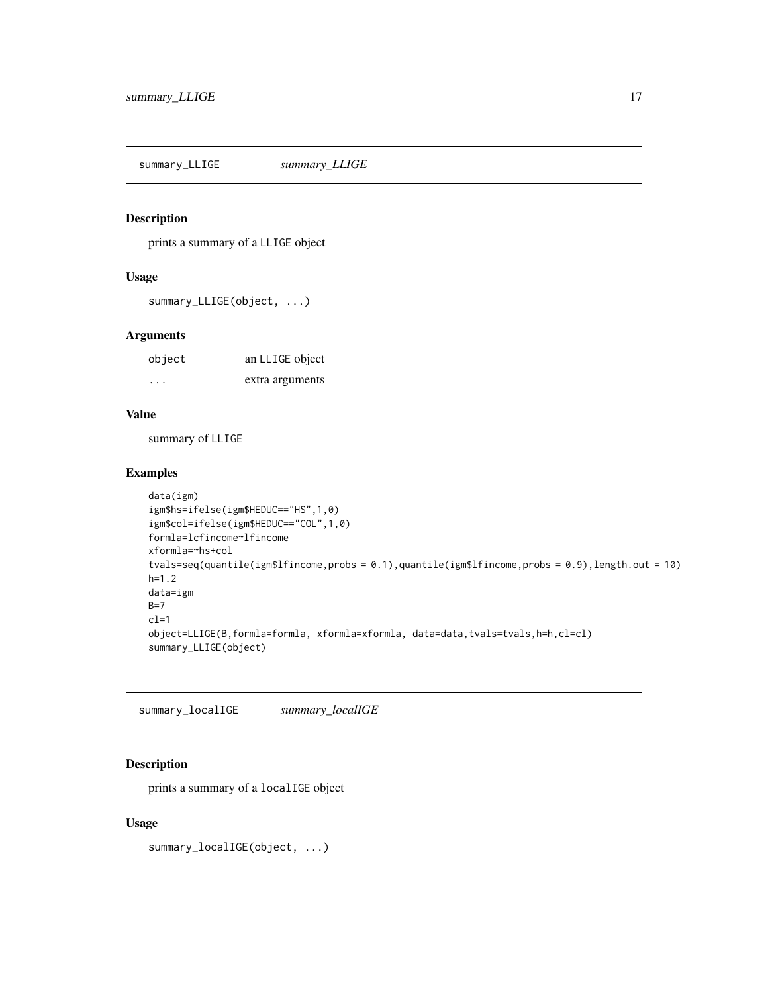<span id="page-16-0"></span>summary\_LLIGE *summary\_LLIGE*

#### Description

prints a summary of a LLIGE object

#### Usage

```
summary_LLIGE(object, ...)
```
#### Arguments

| object                  | an LLIGE object |
|-------------------------|-----------------|
| $\cdot$ $\cdot$ $\cdot$ | extra arguments |

#### Value

summary of LLIGE

#### Examples

```
data(igm)
igm$hs=ifelse(igm$HEDUC=="HS",1,0)
igm$col=ifelse(igm$HEDUC=="COL",1,0)
formla=lcfincome~lfincome
xformla=~hs+col
tvals=seq(quantile(igm$lfincome,probs = 0.1),quantile(igm$lfincome,probs = 0.9),length.out = 10)
h=1.2
data=igm
B=7cl=1
object=LLIGE(B,formla=formla, xformla=xformla, data=data,tvals=tvals,h=h,cl=cl)
summary_LLIGE(object)
```
summary\_localIGE *summary\_localIGE*

#### Description

prints a summary of a localIGE object

#### Usage

summary\_localIGE(object, ...)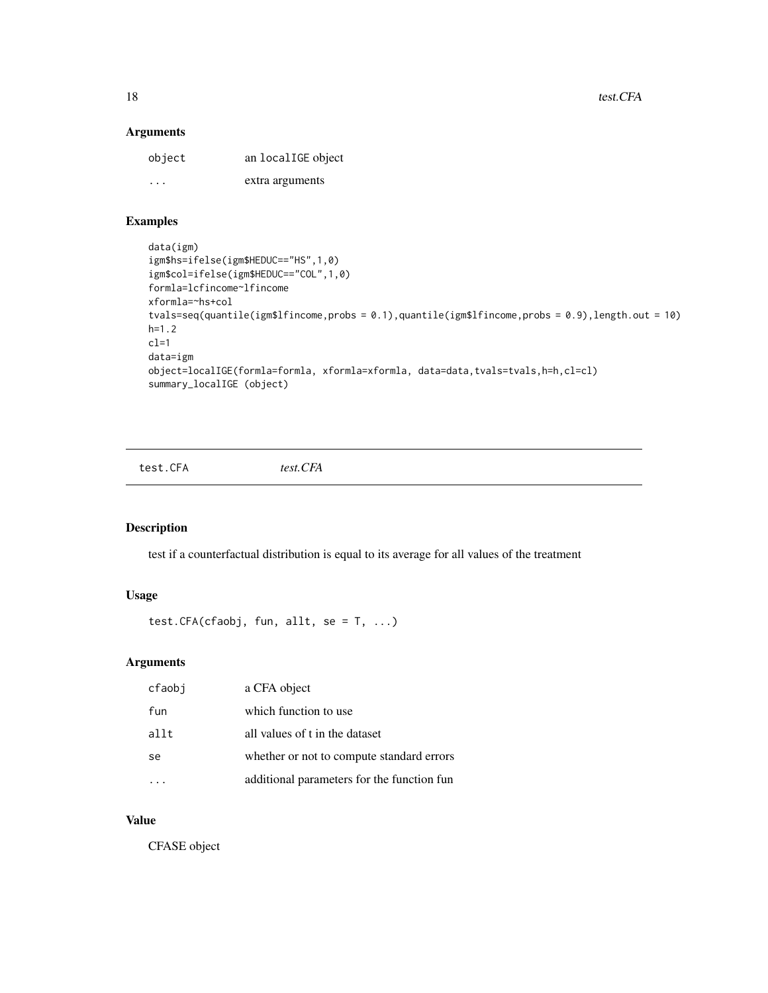<span id="page-17-0"></span>18 test.CFA

#### Arguments

| object  | an localIGE object |
|---------|--------------------|
| $\cdot$ | extra arguments    |

#### Examples

```
data(igm)
igm$hs=ifelse(igm$HEDUC=="HS",1,0)
igm$col=ifelse(igm$HEDUC=="COL",1,0)
formla=lcfincome~lfincome
xformla=~hs+col
tvals=seq(quantile(igm$lfincome,probs = 0.1),quantile(igm$lfincome,probs = 0.9),length.out = 10)
h=1.2
cl=1
data=igm
object=localIGE(formla=formla, xformla=xformla, data=data,tvals=tvals,h=h,cl=cl)
summary_localIGE (object)
```
test.CFA *test.CFA*

#### Description

test if a counterfactual distribution is equal to its average for all values of the treatment

### Usage

```
test.CFA(cfaobj, fun, allt, se = T, ...)
```
#### Arguments

| cfaobi        | a CFA object                               |
|---------------|--------------------------------------------|
| fun           | which function to use                      |
| allt          | all values of t in the dataset             |
| <sub>se</sub> | whether or not to compute standard errors  |
|               | additional parameters for the function fun |

#### Value

CFASE object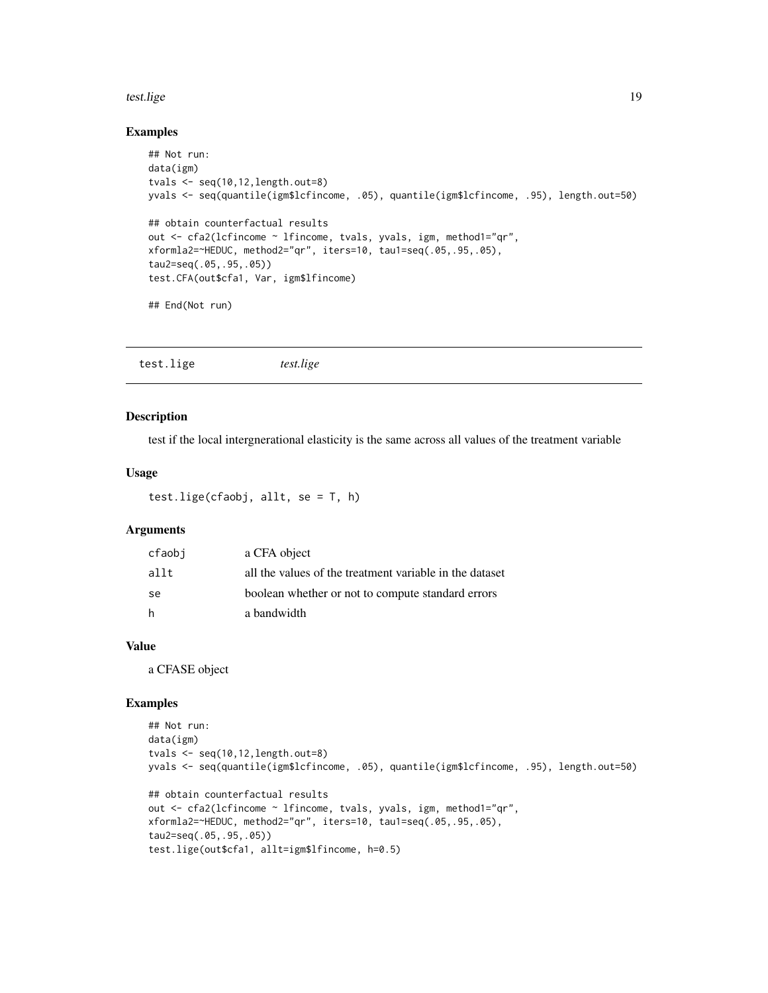#### <span id="page-18-0"></span>test.lige the state of the state of the state of the state of the state of the state of the state of the state of the state of the state of the state of the state of the state of the state of the state of the state of the

#### Examples

```
## Not run:
data(igm)
tvals \leq seq(10,12, length.out=8)
yvals <- seq(quantile(igm$lcfincome, .05), quantile(igm$lcfincome, .95), length.out=50)
## obtain counterfactual results
out <- cfa2(lcfincome ~ lfincome, tvals, yvals, igm, method1="qr",
xformla2=~HEDUC, method2="qr", iters=10, tau1=seq(.05,.95,.05),
tau2=seq(.05,.95,.05))
test.CFA(out$cfa1, Var, igm$lfincome)
## End(Not run)
```
test.lige *test.lige*

#### Description

test if the local intergnerational elasticity is the same across all values of the treatment variable

#### Usage

```
test.lige(cfaobj, allt, se = T, h)
```
#### Arguments

| cfaobi        | a CFA object                                            |
|---------------|---------------------------------------------------------|
| allt          | all the values of the treatment variable in the dataset |
| <sub>se</sub> | boolean whether or not to compute standard errors       |
| - h           | a bandwidth                                             |

#### Value

a CFASE object

#### Examples

```
## Not run:
data(igm)
tvals <- seq(10,12,length.out=8)
yvals <- seq(quantile(igm$lcfincome, .05), quantile(igm$lcfincome, .95), length.out=50)
## obtain counterfactual results
out <- cfa2(lcfincome ~ lfincome, tvals, yvals, igm, method1="qr",
xformla2=~HEDUC, method2="qr", iters=10, tau1=seq(.05,.95,.05),
tau2=seq(.05,.95,.05))
test.lige(out$cfa1, allt=igm$lfincome, h=0.5)
```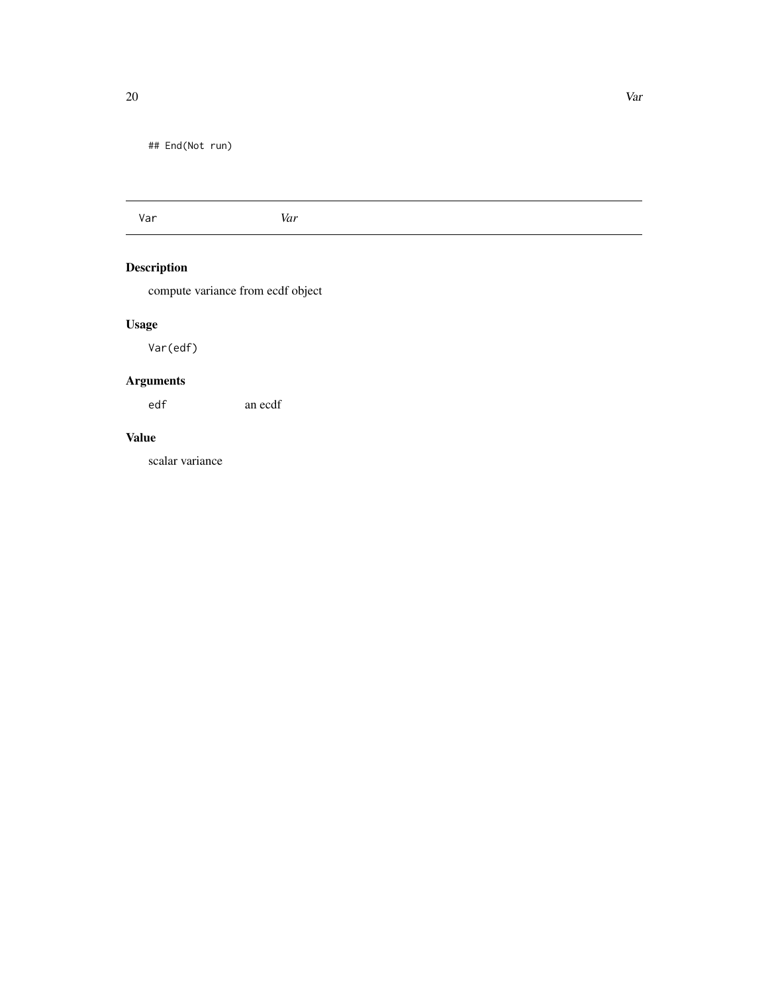<span id="page-19-0"></span>## End(Not run)

Var *Var*

# Description

compute variance from ecdf object

# Usage

Var(edf)

# Arguments

edf an ecdf

#### Value

scalar variance